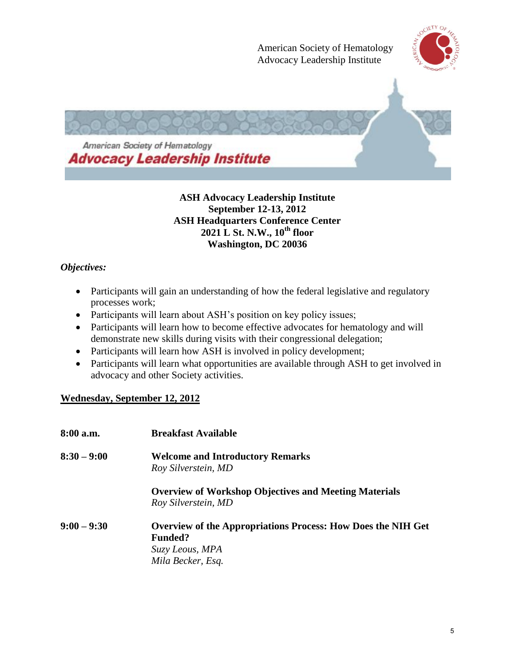

#### **ASH Advocacy Leadership Institute September 12-13, 2012 ASH Headquarters Conference Center 2021 L St. N.W., 10th floor Washington, DC 20036**

### *Objectives:*

- Participants will gain an understanding of how the federal legislative and regulatory processes work;
- Participants will learn about ASH's position on key policy issues;
- Participants will learn how to become effective advocates for hematology and will demonstrate new skills during visits with their congressional delegation;
- Participants will learn how ASH is involved in policy development;
- Participants will learn what opportunities are available through ASH to get involved in advocacy and other Society activities.

# **Wednesday, September 12, 2012**

| 8:00 a.m.     | <b>Breakfast Available</b>                                                                                                    |
|---------------|-------------------------------------------------------------------------------------------------------------------------------|
| $8:30 - 9:00$ | <b>Welcome and Introductory Remarks</b><br>Roy Silverstein, MD                                                                |
|               | <b>Overview of Workshop Objectives and Meeting Materials</b><br>Roy Silverstein, MD                                           |
| $9:00 - 9:30$ | <b>Overview of the Appropriations Process: How Does the NIH Get</b><br><b>Funded?</b><br>Suzy Leous, MPA<br>Mila Becker, Esq. |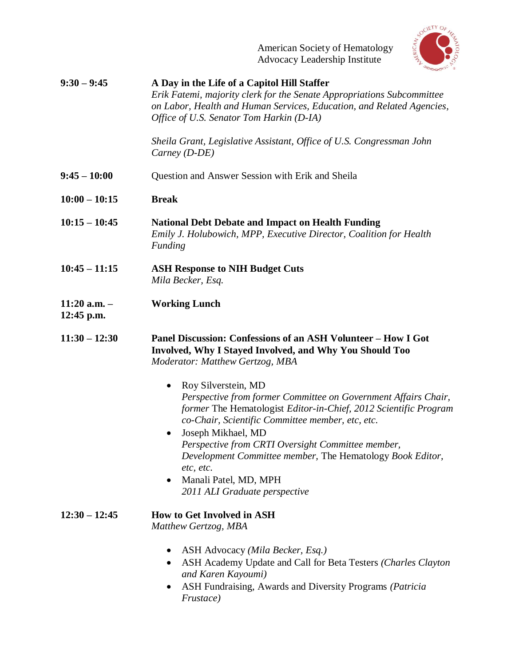

| $9:30 - 9:45$                    | A Day in the Life of a Capitol Hill Staffer<br>Erik Fatemi, majority clerk for the Senate Appropriations Subcommittee<br>on Labor, Health and Human Services, Education, and Related Agencies,<br>Office of U.S. Senator Tom Harkin (D-IA)                                                                                                                                                                                                |
|----------------------------------|-------------------------------------------------------------------------------------------------------------------------------------------------------------------------------------------------------------------------------------------------------------------------------------------------------------------------------------------------------------------------------------------------------------------------------------------|
|                                  | Sheila Grant, Legislative Assistant, Office of U.S. Congressman John<br>Carney $(D-DE)$                                                                                                                                                                                                                                                                                                                                                   |
| $9:45 - 10:00$                   | Question and Answer Session with Erik and Sheila                                                                                                                                                                                                                                                                                                                                                                                          |
| $10:00 - 10:15$                  | <b>Break</b>                                                                                                                                                                                                                                                                                                                                                                                                                              |
| $10:15 - 10:45$                  | <b>National Debt Debate and Impact on Health Funding</b><br>Emily J. Holubowich, MPP, Executive Director, Coalition for Health<br>Funding                                                                                                                                                                                                                                                                                                 |
| $10:45 - 11:15$                  | <b>ASH Response to NIH Budget Cuts</b><br>Mila Becker, Esq.                                                                                                                                                                                                                                                                                                                                                                               |
| $11:20$ a.m. $-$<br>$12:45$ p.m. | <b>Working Lunch</b>                                                                                                                                                                                                                                                                                                                                                                                                                      |
| $11:30 - 12:30$                  | Panel Discussion: Confessions of an ASH Volunteer - How I Got<br>Involved, Why I Stayed Involved, and Why You Should Too<br>Moderator: Matthew Gertzog, MBA                                                                                                                                                                                                                                                                               |
|                                  | Roy Silverstein, MD<br>$\bullet$<br>Perspective from former Committee on Government Affairs Chair,<br>former The Hematologist Editor-in-Chief, 2012 Scientific Program<br>co-Chair, Scientific Committee member, etc, etc.<br>Joseph Mikhael, MD<br>Perspective from CRTI Oversight Committee member,<br>Development Committee member, The Hematology Book Editor,<br>etc, etc.<br>Manali Patel, MD, MPH<br>2011 ALI Graduate perspective |
| $12:30 - 12:45$                  | <b>How to Get Involved in ASH</b><br>Matthew Gertzog, MBA                                                                                                                                                                                                                                                                                                                                                                                 |
|                                  | ASH Advocacy (Mila Becker, Esq.)<br>ASH Academy Update and Call for Beta Testers (Charles Clayton<br>$\bullet$<br>and Karen Kayoumi)<br>ASH Fundraising, Awards and Diversity Programs (Patricia<br>Frustace)                                                                                                                                                                                                                             |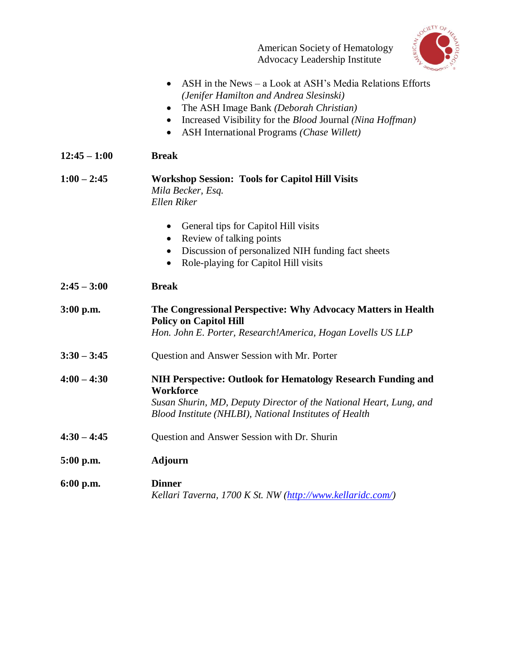American Society of Hematology Advocacy Leadership Institute



|                | ASH in the News – a Look at ASH's Media Relations Efforts<br>$\bullet$<br>(Jenifer Hamilton and Andrea Slesinski)<br>The ASH Image Bank (Deborah Christian)<br>$\bullet$<br>Increased Visibility for the <i>Blood Journal (Nina Hoffman)</i><br>$\bullet$<br>ASH International Programs (Chase Willett) |
|----------------|---------------------------------------------------------------------------------------------------------------------------------------------------------------------------------------------------------------------------------------------------------------------------------------------------------|
| $12:45 - 1:00$ | <b>Break</b>                                                                                                                                                                                                                                                                                            |
| $1:00 - 2:45$  | <b>Workshop Session: Tools for Capitol Hill Visits</b><br>Mila Becker, Esq.<br><b>Ellen Riker</b>                                                                                                                                                                                                       |
|                | General tips for Capitol Hill visits<br>$\bullet$<br>Review of talking points<br>$\bullet$<br>Discussion of personalized NIH funding fact sheets<br>$\bullet$<br>Role-playing for Capitol Hill visits                                                                                                   |
| $2:45 - 3:00$  | <b>Break</b>                                                                                                                                                                                                                                                                                            |
| $3:00$ p.m.    | The Congressional Perspective: Why Advocacy Matters in Health<br><b>Policy on Capitol Hill</b><br>Hon. John E. Porter, Research!America, Hogan Lovells US LLP                                                                                                                                           |
| $3:30 - 3:45$  | Question and Answer Session with Mr. Porter                                                                                                                                                                                                                                                             |
| $4:00 - 4:30$  | NIH Perspective: Outlook for Hematology Research Funding and<br><b>Workforce</b><br>Susan Shurin, MD, Deputy Director of the National Heart, Lung, and<br>Blood Institute (NHLBI), National Institutes of Health                                                                                        |
| $4:30 - 4:45$  | Question and Answer Session with Dr. Shurin                                                                                                                                                                                                                                                             |
| 5:00 p.m.      | <b>Adjourn</b>                                                                                                                                                                                                                                                                                          |
| 6:00 p.m.      | <b>Dinner</b><br>Kellari Taverna, 1700 K St. NW (http://www.kellaridc.com/)                                                                                                                                                                                                                             |